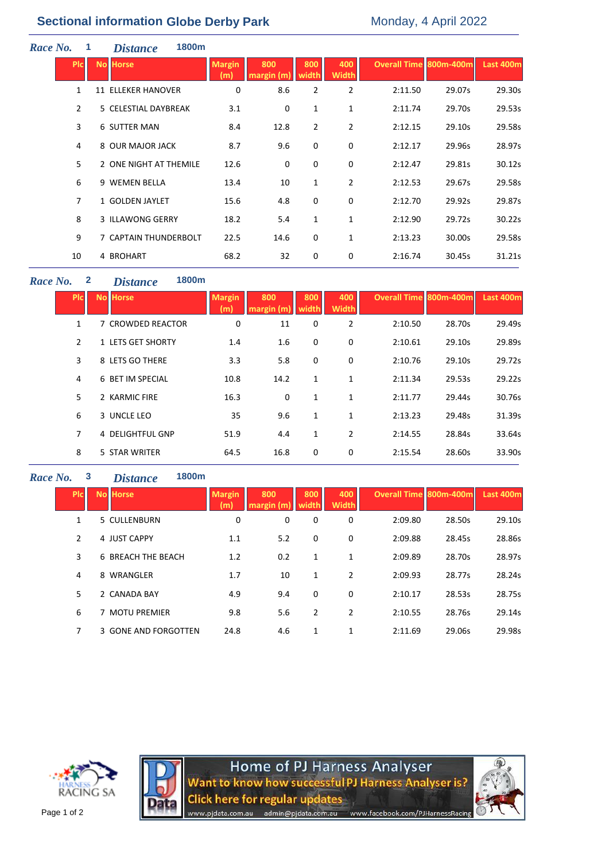# **Sectional information Globe Derby Park** Monday, 4 April 2022

| Race No.<br>1  | <b>Distance</b>           | 1800m                 |                      |                   |                |                     |                               |        |                  |
|----------------|---------------------------|-----------------------|----------------------|-------------------|----------------|---------------------|-------------------------------|--------|------------------|
| <b>PIC</b>     | <b>No Horse</b>           |                       | <b>Margin</b><br>(m) | 800<br>margin (m) | 800<br>width   | 400<br><b>Width</b> | <b>Overall Time 800m-400m</b> |        | <b>Last 400m</b> |
| $\mathbf{1}$   | <b>11 ELLEKER HANOVER</b> |                       | 0                    | 8.6               | $\overline{2}$ | $\overline{2}$      | 2:11.50                       | 29.07s | 29.30s           |
| $\overline{2}$ | 5 CELESTIAL DAYBREAK      |                       | 3.1                  | 0                 | $\mathbf{1}$   | 1                   | 2:11.74                       | 29.70s | 29.53s           |
| $\overline{3}$ | <b>6 SUTTER MAN</b>       |                       | 8.4                  | 12.8              | $\overline{2}$ | $\overline{2}$      | 2:12.15                       | 29.10s | 29.58s           |
| 4              | 8 OUR MAJOR JACK          |                       | 8.7                  | 9.6               | $\mathbf 0$    | 0                   | 2:12.17                       | 29.96s | 28.97s           |
| 5              | 2 ONE NIGHT AT THEMILE    |                       | 12.6                 | 0                 | $\mathbf 0$    | 0                   | 2:12.47                       | 29.81s | 30.12s           |
| 6              | 9 WEMEN BELLA             |                       | 13.4                 | 10                | $\mathbf 1$    | $\overline{2}$      | 2:12.53                       | 29.67s | 29.58s           |
| $\overline{7}$ | 1 GOLDEN JAYLET           |                       | 15.6                 | 4.8               | $\mathbf 0$    | 0                   | 2:12.70                       | 29.92s | 29.87s           |
| 8              | 3 ILLAWONG GERRY          |                       | 18.2                 | 5.4               | 1              | 1                   | 2:12.90                       | 29.72s | 30.22s           |
| 9              |                           | 7 CAPTAIN THUNDERBOLT | 22.5                 | 14.6              | $\mathbf 0$    | 1                   | 2:13.23                       | 30.00s | 29.58s           |
| 10             | 4 BROHART                 |                       | 68.2                 | 32                | 0              | 0                   | 2:16.74                       | 30.45s | 31.21s           |

## *Race No.* **2** *Distance* **1800m**

| <b>PIC</b>   | <b>No Horse</b>   | <b>Margin</b><br>(m) | 800<br>margin (m) | 800<br>width | 400<br><b>Width</b> | <b>Overall Time 800m-400m</b> |        | Last 400m |
|--------------|-------------------|----------------------|-------------------|--------------|---------------------|-------------------------------|--------|-----------|
| $\mathbf{1}$ | 7 CROWDED REACTOR | 0                    | 11                | 0            | $\overline{2}$      | 2:10.50                       | 28.70s | 29.49s    |
| 2            | 1 LETS GET SHORTY | 1.4                  | 1.6               | 0            | 0                   | 2:10.61                       | 29.10s | 29.89s    |
| 3            | 8 LETS GO THERE   | 3.3                  | 5.8               | 0            | 0                   | 2:10.76                       | 29.10s | 29.72s    |
| 4            | 6 BET IM SPECIAL  | 10.8                 | 14.2              | 1            | 1                   | 2:11.34                       | 29.53s | 29.22s    |
| 5            | 2 KARMIC FIRE     | 16.3                 | 0                 | 1            | 1                   | 2:11.77                       | 29.44s | 30.76s    |
| 6            | 3 UNCLE LEO       | 35                   | 9.6               | 1            | 1                   | 2:13.23                       | 29.48s | 31.39s    |
| 7            | 4 DELIGHTFUL GNP  | 51.9                 | 4.4               | 1            | $\overline{2}$      | 2:14.55                       | 28.84s | 33.64s    |
| 8            | 5 STAR WRITER     | 64.5                 | 16.8              | 0            | 0                   | 2:15.54                       | 28.60s | 33.90s    |

## *Race No.* **3** *Distance* **1800m**

| <b>PIc</b> | <b>No Horse</b>      | <b>Margin</b><br>(m) | 800<br>margin (m | 800<br>width | 400<br><b>Width</b> | <b>Overall Time 800m-400m</b> |        | Last 400m |
|------------|----------------------|----------------------|------------------|--------------|---------------------|-------------------------------|--------|-----------|
| 1          | 5 CULLENBURN         | 0                    | 0                | 0            | 0                   | 2:09.80                       | 28.50s | 29.10s    |
| 2          | 4 JUST CAPPY         | 1.1                  | 5.2              | 0            | 0                   | 2:09.88                       | 28.45s | 28.86s    |
| 3          | 6 BREACH THE BEACH   | 1.2                  | 0.2              | 1            | $\mathbf{1}$        | 2:09.89                       | 28.70s | 28.97s    |
| 4          | 8 WRANGLER           | 1.7                  | 10               | 1            | 2                   | 2:09.93                       | 28.77s | 28.24s    |
| 5          | 2 CANADA BAY         | 4.9                  | 9.4              | 0            | 0                   | 2:10.17                       | 28.53s | 28.75s    |
| 6          | <b>MOTU PREMIER</b>  | 9.8                  | 5.6              | 2            | 2                   | 2:10.55                       | 28.76s | 29.14s    |
| 7          | 3 GONE AND FORGOTTEN | 24.8                 | 4.6              | 1            | 1                   | 2:11.69                       | 29.06s | 29.98s    |



Home of PJ Harness Analyser<br>Want to know how successful PJ Harness Analyser is? **Click here for regular updates** admin@pjdata.com.au www.facebook.com/PJHarnessRacing www.pjdata.com.au